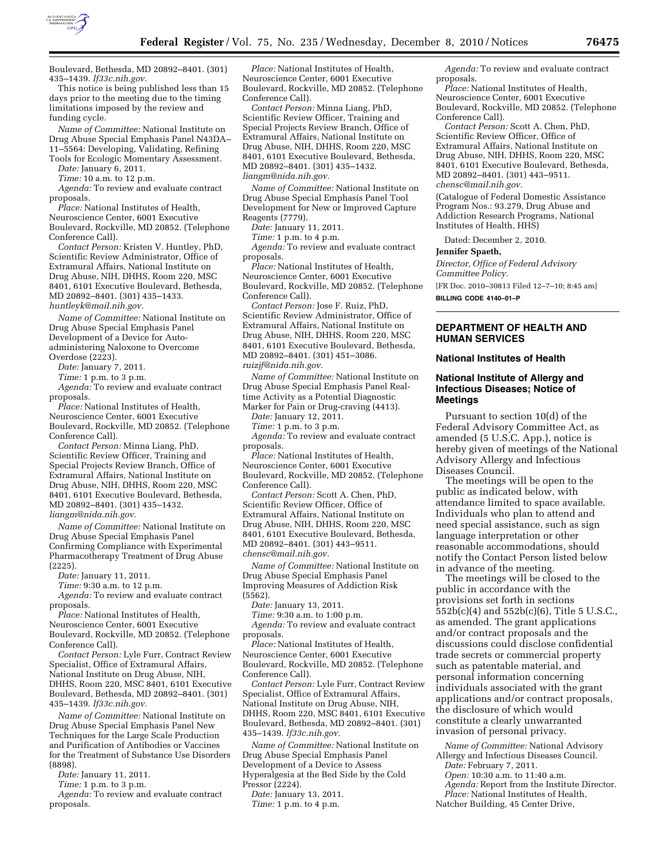

Boulevard, Bethesda, MD 20892–8401. (301) 435–1439. *lf33c.nih.gov.* 

This notice is being published less than 15 days prior to the meeting due to the timing limitations imposed by the review and funding cycle.

*Name of Committee:* National Institute on Drug Abuse Special Emphasis Panel N43DA– 11–5564: Developing, Validating, Refining Tools for Ecologic Momentary Assessment.

*Date:* January 6, 2011.

*Time:* 10 a.m. to 12 p.m. *Agenda:* To review and evaluate contract proposals.

*Place:* National Institutes of Health, Neuroscience Center, 6001 Executive Boulevard, Rockville, MD 20852. (Telephone Conference Call).

*Contact Person:* Kristen V. Huntley, PhD, Scientific Review Administrator, Office of Extramural Affairs, National Institute on Drug Abuse, NIH, DHHS, Room 220, MSC 8401, 6101 Executive Boulevard, Bethesda, MD 20892–8401. (301) 435–1433. *[huntleyk@mail.nih.gov.](mailto:huntleyk@mail.nih.gov)* 

*Name of Committee:* National Institute on Drug Abuse Special Emphasis Panel Development of a Device for Autoadministering Naloxone to Overcome Overdose (2223).

*Date:* January 7, 2011.

*Time:* 1 p.m. to 3 p.m.

*Agenda:* To review and evaluate contract proposals.

*Place:* National Institutes of Health, Neuroscience Center, 6001 Executive Boulevard, Rockville, MD 20852. (Telephone Conference Call).

*Contact Person:* Minna Liang, PhD, Scientific Review Officer, Training and Special Projects Review Branch, Office of Extramural Affairs, National Institute on Drug Abuse, NIH, DHHS, Room 220, MSC 8401, 6101 Executive Boulevard, Bethesda, MD 20892–8401. (301) 435–1432. *[liangm@nida.nih.gov.](mailto:liangm@nida.nih.gov)* 

*Name of Committee:* National Institute on Drug Abuse Special Emphasis Panel Confirming Compliance with Experimental Pharmacotherapy Treatment of Drug Abuse (2225).

*Date:* January 11, 2011.

*Time:* 9:30 a.m. to 12 p.m.

*Agenda:* To review and evaluate contract proposals.

*Place:* National Institutes of Health, Neuroscience Center, 6001 Executive Boulevard, Rockville, MD 20852. (Telephone Conference Call).

*Contact Person:* Lyle Furr, Contract Review Specialist, Office of Extramural Affairs, National Institute on Drug Abuse, NIH, DHHS, Room 220, MSC 8401, 6101 Executive Boulevard, Bethesda, MD 20892–8401. (301) 435–1439. *lf33c.nih.gov.* 

*Name of Committee:* National Institute on Drug Abuse Special Emphasis Panel New Techniques for the Large Scale Production and Purification of Antibodies or Vaccines for the Treatment of Substance Use Disorders (8898).

*Date:* January 11, 2011.

*Time:* 1 p.m. to 3 p.m.

*Agenda:* To review and evaluate contract proposals.

*Place:* National Institutes of Health, Neuroscience Center, 6001 Executive Boulevard, Rockville, MD 20852. (Telephone Conference Call).

*Contact Person:* Minna Liang, PhD, Scientific Review Officer, Training and Special Projects Review Branch, Office of Extramural Affairs, National Institute on Drug Abuse, NIH, DHHS, Room 220, MSC 8401, 6101 Executive Boulevard, Bethesda, MD 20892–8401. (301) 435–1432. *[liangm@nida.nih.gov.](mailto:liangm@nida.nih.gov)* 

*Name of Committee:* National Institute on Drug Abuse Special Emphasis Panel Tool Development for New or Improved Capture Reagents (7779).

*Date:* January 11, 2011.

*Time:* 1 p.m. to 4 p.m.

*Agenda:* To review and evaluate contract proposals.

*Place:* National Institutes of Health, Neuroscience Center, 6001 Executive Boulevard, Rockville, MD 20852. (Telephone Conference Call).

*Contact Person:* Jose F. Ruiz, PhD, Scientific Review Administrator, Office of Extramural Affairs, National Institute on Drug Abuse, NIH, DHHS, Room 220, MSC 8401, 6101 Executive Boulevard, Bethesda, MD 20892–8401. (301) 451–3086. *[ruizjf@nida.nih.gov.](mailto:ruizjf@nida.nih.gov)* 

*Name of Committee:* National Institute on Drug Abuse Special Emphasis Panel Realtime Activity as a Potential Diagnostic Marker for Pain or Drug-craving (4413).

*Date:* January 12, 2011.

*Time:* 1 p.m. to 3 p.m.

*Agenda:* To review and evaluate contract proposals.

*Place:* National Institutes of Health, Neuroscience Center, 6001 Executive Boulevard, Rockville, MD 20852. (Telephone Conference Call).

*Contact Person:* Scott A. Chen, PhD, Scientific Review Officer, Office of Extramural Affairs, National Institute on Drug Abuse, NIH, DHHS, Room 220, MSC 8401, 6101 Executive Boulevard, Bethesda, MD 20892–8401. (301) 443–9511. *[chensc@mail.nih.gov.](mailto:chensc@mail.nih.gov)* 

*Name of Committee:* National Institute on Drug Abuse Special Emphasis Panel Improving Measures of Addiction Risk (5562).

*Date:* January 13, 2011.

*Time:* 9:30 a.m. to 1:00 p.m. *Agenda:* To review and evaluate contract proposals.

*Place:* National Institutes of Health, Neuroscience Center, 6001 Executive Boulevard, Rockville, MD 20852. (Telephone Conference Call).

*Contact Person:* Lyle Furr, Contract Review Specialist, Office of Extramural Affairs, National Institute on Drug Abuse, NIH, DHHS, Room 220, MSC 8401, 6101 Executive Boulevard, Bethesda, MD 20892–8401. (301) 435–1439. *lf33c.nih.gov.* 

*Name of Committee:* National Institute on Drug Abuse Special Emphasis Panel Development of a Device to Assess Hyperalgesia at the Bed Side by the Cold Pressor (2224).

*Date:* January 13, 2011. *Time:* 1 p.m. to 4 p.m.

*Agenda:* To review and evaluate contract proposals.

*Place:* National Institutes of Health, Neuroscience Center, 6001 Executive Boulevard, Rockville, MD 20852. (Telephone Conference Call).

*Contact Person:* Scott A. Chen, PhD, Scientific Review Officer, Office of Extramural Affairs, National Institute on Drug Abuse, NIH, DHHS, Room 220, MSC 8401, 6101 Executive Boulevard, Bethesda, MD 20892–8401. (301) 443–9511. *[chensc@mail.nih.gov.](mailto:chensc@mail.nih.gov)* 

(Catalogue of Federal Domestic Assistance Program Nos.: 93.279, Drug Abuse and Addiction Research Programs, National Institutes of Health, HHS)

Dated: December 2, 2010.

#### **Jennifer Spaeth,**

*Director, Office of Federal Advisory Committee Policy.* 

[FR Doc. 2010–30813 Filed 12–7–10; 8:45 am] **BILLING CODE 4140–01–P** 

# **DEPARTMENT OF HEALTH AND HUMAN SERVICES**

#### **National Institutes of Health**

### **National Institute of Allergy and Infectious Diseases; Notice of Meetings**

Pursuant to section 10(d) of the Federal Advisory Committee Act, as amended (5 U.S.C. App.), notice is hereby given of meetings of the National Advisory Allergy and Infectious Diseases Council.

The meetings will be open to the public as indicated below, with attendance limited to space available. Individuals who plan to attend and need special assistance, such as sign language interpretation or other reasonable accommodations, should notify the Contact Person listed below in advance of the meeting.

The meetings will be closed to the public in accordance with the provisions set forth in sections 552b(c)(4) and 552b(c)(6), Title 5 U.S.C., as amended. The grant applications and/or contract proposals and the discussions could disclose confidential trade secrets or commercial property such as patentable material, and personal information concerning individuals associated with the grant applications and/or contract proposals, the disclosure of which would constitute a clearly unwarranted invasion of personal privacy.

*Name of Committee:* National Advisory Allergy and Infectious Diseases Council. *Date:* February 7, 2011.

*Open:* 10:30 a.m. to 11:40 a.m.

*Agenda:* Report from the Institute Director.

*Place:* National Institutes of Health,

Natcher Building, 45 Center Drive,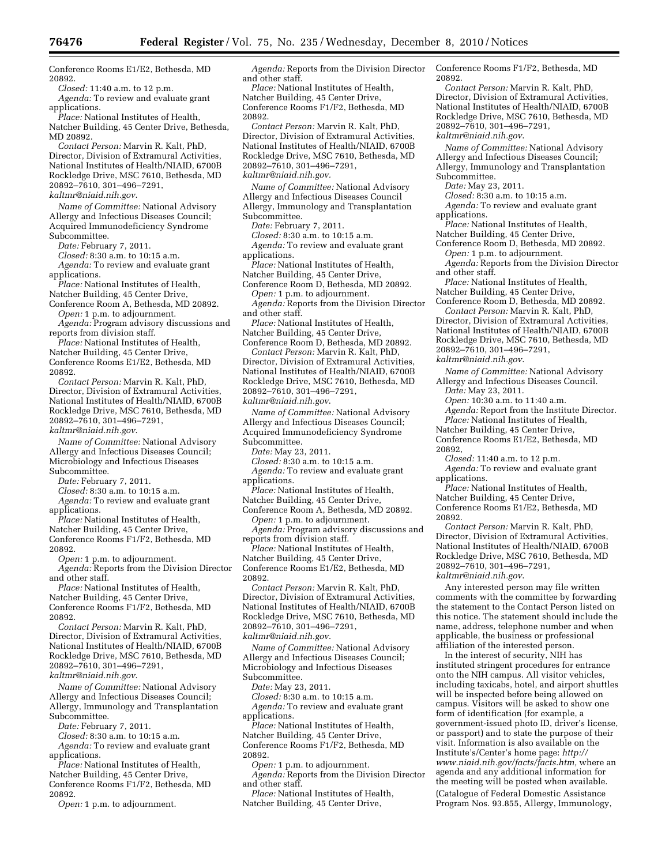Conference Rooms E1/E2, Bethesda, MD 20892. *Closed:* 11:40 a.m. to 12 p.m.

*Agenda:* To review and evaluate grant

applications.

*Place:* National Institutes of Health, Natcher Building, 45 Center Drive, Bethesda, MD 20892.

*Contact Person:* Marvin R. Kalt, PhD, Director, Division of Extramural Activities, National Institutes of Health/NIAID, 6700B Rockledge Drive, MSC 7610, Bethesda, MD 20892–7610, 301–496–7291, *[kaltmr@niaid.nih.gov](mailto:kaltmr@niaid.nih.gov)*.

*Name of Committee:* National Advisory

Allergy and Infectious Diseases Council; Acquired Immunodeficiency Syndrome Subcommittee.

*Date:* February 7, 2011.

*Closed:* 8:30 a.m. to 10:15 a.m.

*Agenda:* To review and evaluate grant applications.

*Place:* National Institutes of Health,

Natcher Building, 45 Center Drive,

Conference Room A, Bethesda, MD 20892. *Open:* 1 p.m. to adjournment. *Agenda:* Program advisory discussions and

reports from division staff. *Place:* National Institutes of Health,

Natcher Building, 45 Center Drive, Conference Rooms E1/E2, Bethesda, MD 20892.

*Contact Person:* Marvin R. Kalt, PhD, Director, Division of Extramural Activities, National Institutes of Health/NIAID, 6700B Rockledge Drive, MSC 7610, Bethesda, MD 20892–7610, 301–496–7291,

*[kaltmr@niaid.nih.gov](mailto:kaltmr@niaid.nih.gov)*.

*Name of Committee:* National Advisory Allergy and Infectious Diseases Council; Microbiology and Infectious Diseases Subcommittee.

*Date:* February 7, 2011.

*Closed:* 8:30 a.m. to 10:15 a.m.

*Agenda:* To review and evaluate grant applications.

*Place:* National Institutes of Health, Natcher Building, 45 Center Drive, Conference Rooms F1/F2, Bethesda, MD 20892.

*Open:* 1 p.m. to adjournment. *Agenda:* Reports from the Division Director and other staff.

*Place:* National Institutes of Health,

Natcher Building, 45 Center Drive,

Conference Rooms F1/F2, Bethesda, MD 20892.

*Contact Person:* Marvin R. Kalt, PhD, Director, Division of Extramural Activities, National Institutes of Health/NIAID, 6700B Rockledge Drive, MSC 7610, Bethesda, MD 20892–7610, 301–496–7291,

*[kaltmr@niaid.nih.gov](mailto:kaltmr@niaid.nih.gov)*.

*Name of Committee:* National Advisory Allergy and Infectious Diseases Council; Allergy, Immunology and Transplantation Subcommittee.

*Date:* February 7, 2011.

*Closed:* 8:30 a.m. to 10:15 a.m. *Agenda:* To review and evaluate grant applications.

*Place:* National Institutes of Health, Natcher Building, 45 Center Drive, Conference Rooms F1/F2, Bethesda, MD 20892.

*Open:* 1 p.m. to adjournment.

*Agenda:* Reports from the Division Director and other staff.

*Place:* National Institutes of Health, Natcher Building, 45 Center Drive, Conference Rooms F1/F2, Bethesda, MD 20892.

*Contact Person:* Marvin R. Kalt, PhD, Director, Division of Extramural Activities, National Institutes of Health/NIAID, 6700B Rockledge Drive, MSC 7610, Bethesda, MD 20892–7610, 301–496–7291, *[kaltmr@niaid.nih.gov.](mailto:kaltmr@niaid.nih.gov)* 

*Name of Committee:* National Advisory Allergy and Infectious Diseases Council Allergy, Immunology and Transplantation Subcommittee.

*Date:* February 7, 2011.

*Closed:* 8:30 a.m. to 10:15 a.m. *Agenda:* To review and evaluate grant applications.

*Place:* National Institutes of Health,

Natcher Building, 45 Center Drive,

Conference Room D, Bethesda, MD 20892.

*Open:* 1 p.m. to adjournment. *Agenda:* Reports from the Division Director

and other staff.

*Place:* National Institutes of Health, Natcher Building, 45 Center Drive,

Conference Room D, Bethesda, MD 20892. *Contact Person:* Marvin R. Kalt, PhD,

Director, Division of Extramural Activities, National Institutes of Health/NIAID, 6700B Rockledge Drive, MSC 7610, Bethesda, MD

20892–7610, 301–496–7291,

*[kaltmr@niaid.nih.gov](mailto:kaltmr@niaid.nih.gov)*.

*Name of Committee:* National Advisory Allergy and Infectious Diseases Council; Acquired Immunodeficiency Syndrome

Subcommittee.

*Date:* May 23, 2011.

*Closed:* 8:30 a.m. to 10:15 a.m. *Agenda:* To review and evaluate grant applications.

*Place:* National Institutes of Health,

Natcher Building, 45 Center Drive, Conference Room A, Bethesda, MD 20892.

*Open:* 1 p.m. to adjournment. *Agenda:* Program advisory discussions and reports from division staff.

*Place:* National Institutes of Health, Natcher Building, 45 Center Drive, Conference Rooms E1/E2, Bethesda, MD 20892.

*Contact Person:* Marvin R. Kalt, PhD, Director, Division of Extramural Activities, National Institutes of Health/NIAID, 6700B Rockledge Drive, MSC 7610, Bethesda, MD 20892–7610, 301–496–7291, *[kaltmr@niaid.nih.gov](mailto:kaltmr@niaid.nih.gov)*.

*Name of Committee:* National Advisory Allergy and Infectious Diseases Council; Microbiology and Infectious Diseases Subcommittee.

*Date:* May 23, 2011.

*Closed:* 8:30 a.m. to 10:15 a.m. *Agenda:* To review and evaluate grant

applications.

*Place:* National Institutes of Health, Natcher Building, 45 Center Drive, Conference Rooms F1/F2, Bethesda, MD 20892.

*Open:* 1 p.m. to adjournment.

*Agenda:* Reports from the Division Director and other staff.

*Place:* National Institutes of Health, Natcher Building, 45 Center Drive,

Conference Rooms F1/F2, Bethesda, MD 20892.

*Contact Person:* Marvin R. Kalt, PhD, Director, Division of Extramural Activities, National Institutes of Health/NIAID, 6700B Rockledge Drive, MSC 7610, Bethesda, MD 20892–7610, 301–496–7291, *[kaltmr@niaid.nih.gov](mailto:kaltmr@niaid.nih.gov)*.

*Name of Committee:* National Advisory Allergy and Infectious Diseases Council; Allergy, Immunology and Transplantation Subcommittee.

*Date:* May 23, 2011.

*Closed:* 8:30 a.m. to 10:15 a.m.

*Agenda:* To review and evaluate grant applications.

*Place:* National Institutes of Health, Natcher Building, 45 Center Drive,

Conference Room D, Bethesda, MD 20892. *Open:* 1 p.m. to adjournment.

*Agenda:* Reports from the Division Director and other staff.

*Place:* National Institutes of Health,

Natcher Building, 45 Center Drive,

Conference Room D, Bethesda, MD 20892. *Contact Person:* Marvin R. Kalt, PhD, Director, Division of Extramural Activities,

National Institutes of Health/NIAID, 6700B Rockledge Drive, MSC 7610, Bethesda, MD 20892–7610, 301–496–7291,

*[kaltmr@niaid.nih.gov](mailto:kaltmr@niaid.nih.gov)*.

*Name of Committee:* National Advisory Allergy and Infectious Diseases Council.

*Date:* May 23, 2011. *Open:* 10:30 a.m. to 11:40 a.m.

*Agenda:* Report from the Institute Director. *Place:* National Institutes of Health,

Natcher Building, 45 Center Drive,

Conference Rooms E1/E2, Bethesda, MD 20892,

*Closed:* 11:40 a.m. to 12 p.m. *Agenda:* To review and evaluate grant applications.

*Place:* National Institutes of Health, Natcher Building, 45 Center Drive, Conference Rooms E1/E2, Bethesda, MD 20892.

*Contact Person:* Marvin R. Kalt, PhD, Director, Division of Extramural Activities, National Institutes of Health/NIAID, 6700B Rockledge Drive, MSC 7610, Bethesda, MD 20892–7610, 301–496–7291, *[kaltmr@niaid.nih.gov](mailto:kaltmr@niaid.nih.gov)*.

Any interested person may file written comments with the committee by forwarding the statement to the Contact Person listed on this notice. The statement should include the name, address, telephone number and when applicable, the business or professional affiliation of the interested person.

In the interest of security, NIH has instituted stringent procedures for entrance onto the NIH campus. All visitor vehicles, including taxicabs, hotel, and airport shuttles will be inspected before being allowed on campus. Visitors will be asked to show one form of identification (for example, a government-issued photo ID, driver's license, or passport) and to state the purpose of their visit. Information is also available on the Institute's/Center's home page: *[http://](http://www.niaid.nih.gov/facts/facts.htm) [www.niaid.nih.gov/facts/facts.htm,](http://www.niaid.nih.gov/facts/facts.htm)* where an agenda and any additional information for the meeting will be posted when available. (Catalogue of Federal Domestic Assistance Program Nos. 93.855, Allergy, Immunology,